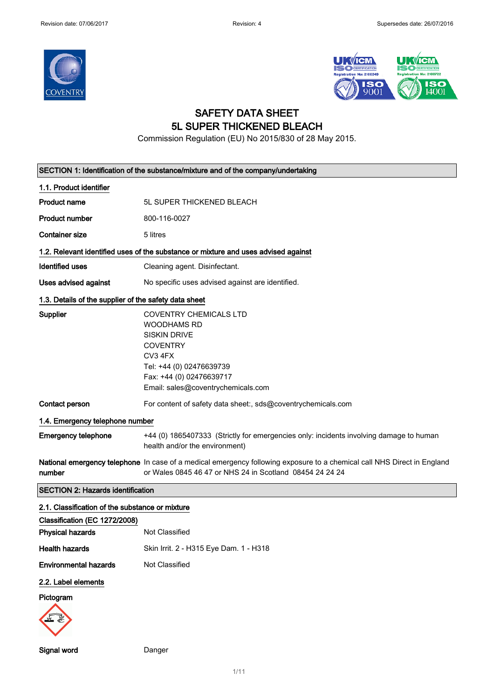



# SAFETY DATA SHEET 5L SUPER THICKENED BLEACH

Commission Regulation (EU) No 2015/830 of 28 May 2015.

|                                                       | SECTION 1: Identification of the substance/mixture and of the company/undertaking                                                                                                                      |  |  |
|-------------------------------------------------------|--------------------------------------------------------------------------------------------------------------------------------------------------------------------------------------------------------|--|--|
| 1.1. Product identifier                               |                                                                                                                                                                                                        |  |  |
| <b>Product name</b>                                   | 5L SUPER THICKENED BLEACH                                                                                                                                                                              |  |  |
| <b>Product number</b>                                 | 800-116-0027                                                                                                                                                                                           |  |  |
| <b>Container size</b>                                 | 5 litres                                                                                                                                                                                               |  |  |
|                                                       | 1.2. Relevant identified uses of the substance or mixture and uses advised against                                                                                                                     |  |  |
| <b>Identified uses</b>                                | Cleaning agent. Disinfectant.                                                                                                                                                                          |  |  |
| Uses advised against                                  | No specific uses advised against are identified.                                                                                                                                                       |  |  |
| 1.3. Details of the supplier of the safety data sheet |                                                                                                                                                                                                        |  |  |
| <b>Supplier</b>                                       | <b>COVENTRY CHEMICALS LTD</b><br><b>WOODHAMS RD</b><br><b>SISKIN DRIVE</b><br><b>COVENTRY</b><br>CV3 4FX<br>Tel: +44 (0) 02476639739<br>Fax: +44 (0) 02476639717<br>Email: sales@coventrychemicals.com |  |  |
| Contact person                                        | For content of safety data sheet:, sds@coventrychemicals.com                                                                                                                                           |  |  |
| 1.4. Emergency telephone number                       |                                                                                                                                                                                                        |  |  |
| <b>Emergency telephone</b>                            | +44 (0) 1865407333 (Strictly for emergencies only: incidents involving damage to human<br>health and/or the environment)                                                                               |  |  |
| number                                                | National emergency telephone In case of a medical emergency following exposure to a chemical call NHS Direct in England<br>or Wales 0845 46 47 or NHS 24 in Scotland 08454 24 24 24                    |  |  |
| <b>SECTION 2: Hazards identification</b>              |                                                                                                                                                                                                        |  |  |
| 2.1. Classification of the substance or mixture       |                                                                                                                                                                                                        |  |  |
| Classification (EC 1272/2008)                         |                                                                                                                                                                                                        |  |  |
| <b>Physical hazards</b>                               | Not Classified                                                                                                                                                                                         |  |  |
| <b>Health hazards</b>                                 | Skin Irrit. 2 - H315 Eye Dam. 1 - H318                                                                                                                                                                 |  |  |
| <b>Environmental hazards</b>                          | Not Classified                                                                                                                                                                                         |  |  |
| 2.2. Label elements<br>Pictogram                      |                                                                                                                                                                                                        |  |  |

1/ 11

Signal word Danger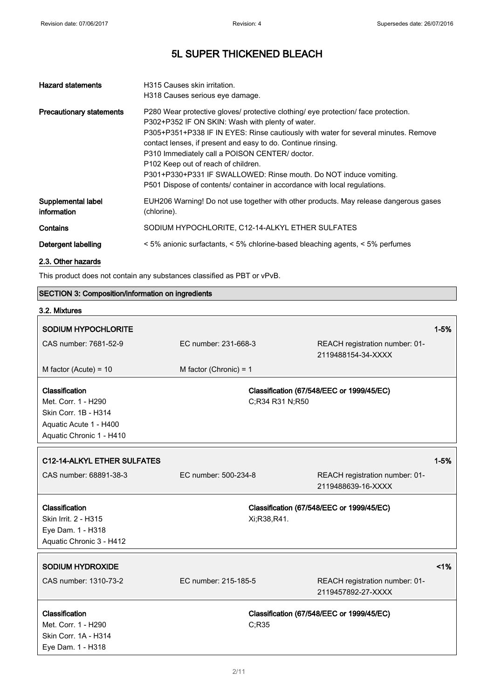| <b>Hazard statements</b>          | H315 Causes skin irritation.<br>H318 Causes serious eye damage.                                                                                                                                                                                                                                                                                                                                                                                                                                                                                     |
|-----------------------------------|-----------------------------------------------------------------------------------------------------------------------------------------------------------------------------------------------------------------------------------------------------------------------------------------------------------------------------------------------------------------------------------------------------------------------------------------------------------------------------------------------------------------------------------------------------|
| <b>Precautionary statements</b>   | P280 Wear protective gloves/ protective clothing/ eye protection/ face protection.<br>P302+P352 IF ON SKIN: Wash with plenty of water.<br>P305+P351+P338 IF IN EYES: Rinse cautiously with water for several minutes. Remove<br>contact lenses, if present and easy to do. Continue rinsing.<br>P310 Immediately call a POISON CENTER/ doctor.<br>P <sub>102</sub> Keep out of reach of children.<br>P301+P330+P331 IF SWALLOWED: Rinse mouth. Do NOT induce vomiting.<br>P501 Dispose of contents/ container in accordance with local regulations. |
| Supplemental label<br>information | EUH206 Warning! Do not use together with other products. May release dangerous gases<br>(chlorine).                                                                                                                                                                                                                                                                                                                                                                                                                                                 |
| Contains                          | SODIUM HYPOCHLORITE, C12-14-ALKYL ETHER SULFATES                                                                                                                                                                                                                                                                                                                                                                                                                                                                                                    |
| Detergent labelling               | < 5% anionic surfactants, < 5% chlorine-based bleaching agents, < 5% perfumes                                                                                                                                                                                                                                                                                                                                                                                                                                                                       |
| 2.3. Other hazards                |                                                                                                                                                                                                                                                                                                                                                                                                                                                                                                                                                     |

This product does not contain any substances classified as PBT or vPvB.

## SECTION 3: Composition/information on ingredients

| 3.2. Mixtures                                                                                                       |                          |                                                      |          |
|---------------------------------------------------------------------------------------------------------------------|--------------------------|------------------------------------------------------|----------|
| <b>SODIUM HYPOCHLORITE</b>                                                                                          |                          |                                                      | $1 - 5%$ |
| CAS number: 7681-52-9                                                                                               | EC number: 231-668-3     | REACH registration number: 01-<br>2119488154-34-XXXX |          |
| M factor (Acute) = $10$                                                                                             | M factor (Chronic) = $1$ |                                                      |          |
| Classification<br>Met. Corr. 1 - H290<br>Skin Corr. 1B - H314<br>Aquatic Acute 1 - H400<br>Aquatic Chronic 1 - H410 | C;R34 R31 N;R50          | Classification (67/548/EEC or 1999/45/EC)            |          |
| C12-14-ALKYL ETHER SULFATES                                                                                         |                          |                                                      | $1 - 5%$ |
| CAS number: 68891-38-3                                                                                              | EC number: 500-234-8     | REACH registration number: 01-<br>2119488639-16-XXXX |          |
| Classification                                                                                                      |                          | Classification (67/548/EEC or 1999/45/EC)            |          |
| Skin Irrit. 2 - H315                                                                                                | Xi;R38,R41.              |                                                      |          |
| Eye Dam. 1 - H318                                                                                                   |                          |                                                      |          |
| Aquatic Chronic 3 - H412                                                                                            |                          |                                                      |          |
| <b>SODIUM HYDROXIDE</b>                                                                                             |                          |                                                      | 1%       |
| CAS number: 1310-73-2                                                                                               | EC number: 215-185-5     | REACH registration number: 01-<br>2119457892-27-XXXX |          |
| Classification                                                                                                      |                          | Classification (67/548/EEC or 1999/45/EC)            |          |
| Met. Corr. 1 - H290                                                                                                 | C;R35                    |                                                      |          |
| Skin Corr. 1A - H314                                                                                                |                          |                                                      |          |
| Eye Dam. 1 - H318                                                                                                   |                          |                                                      |          |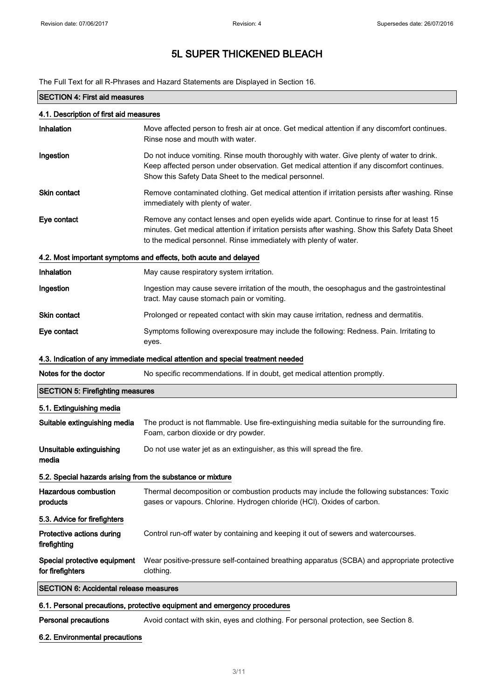The Full Text for all R-Phrases and Hazard Statements are Displayed in Section 16.

| <b>SECTION 4: First aid measures</b>                                     |                                                                                                                                                                                                                                                                   |  |
|--------------------------------------------------------------------------|-------------------------------------------------------------------------------------------------------------------------------------------------------------------------------------------------------------------------------------------------------------------|--|
|                                                                          |                                                                                                                                                                                                                                                                   |  |
| 4.1. Description of first aid measures                                   |                                                                                                                                                                                                                                                                   |  |
| Inhalation                                                               | Move affected person to fresh air at once. Get medical attention if any discomfort continues.<br>Rinse nose and mouth with water.                                                                                                                                 |  |
| Ingestion                                                                | Do not induce vomiting. Rinse mouth thoroughly with water. Give plenty of water to drink.<br>Keep affected person under observation. Get medical attention if any discomfort continues.<br>Show this Safety Data Sheet to the medical personnel.                  |  |
| <b>Skin contact</b>                                                      | Remove contaminated clothing. Get medical attention if irritation persists after washing. Rinse<br>immediately with plenty of water.                                                                                                                              |  |
| Eye contact                                                              | Remove any contact lenses and open eyelids wide apart. Continue to rinse for at least 15<br>minutes. Get medical attention if irritation persists after washing. Show this Safety Data Sheet<br>to the medical personnel. Rinse immediately with plenty of water. |  |
|                                                                          | 4.2. Most important symptoms and effects, both acute and delayed                                                                                                                                                                                                  |  |
| Inhalation                                                               | May cause respiratory system irritation.                                                                                                                                                                                                                          |  |
| Ingestion                                                                | Ingestion may cause severe irritation of the mouth, the oesophagus and the gastrointestinal<br>tract. May cause stomach pain or vomiting.                                                                                                                         |  |
| <b>Skin contact</b>                                                      | Prolonged or repeated contact with skin may cause irritation, redness and dermatitis.                                                                                                                                                                             |  |
| Eye contact                                                              | Symptoms following overexposure may include the following: Redness. Pain. Irritating to<br>eyes.                                                                                                                                                                  |  |
|                                                                          | 4.3. Indication of any immediate medical attention and special treatment needed                                                                                                                                                                                   |  |
| Notes for the doctor                                                     | No specific recommendations. If in doubt, get medical attention promptly.                                                                                                                                                                                         |  |
| <b>SECTION 5: Firefighting measures</b>                                  |                                                                                                                                                                                                                                                                   |  |
| 5.1. Extinguishing media                                                 |                                                                                                                                                                                                                                                                   |  |
| Suitable extinguishing media                                             | The product is not flammable. Use fire-extinguishing media suitable for the surrounding fire.<br>Foam, carbon dioxide or dry powder.                                                                                                                              |  |
| Unsuitable extinguishing<br>media                                        | Do not use water jet as an extinguisher, as this will spread the fire.                                                                                                                                                                                            |  |
| 5.2. Special hazards arising from the substance or mixture               |                                                                                                                                                                                                                                                                   |  |
| <b>Hazardous combustion</b><br>products                                  | Thermal decomposition or combustion products may include the following substances: Toxic<br>gases or vapours. Chlorine. Hydrogen chloride (HCl). Oxides of carbon.                                                                                                |  |
| 5.3. Advice for firefighters                                             |                                                                                                                                                                                                                                                                   |  |
| Protective actions during<br>firefighting                                | Control run-off water by containing and keeping it out of sewers and watercourses.                                                                                                                                                                                |  |
| Special protective equipment<br>for firefighters                         | Wear positive-pressure self-contained breathing apparatus (SCBA) and appropriate protective<br>clothing.                                                                                                                                                          |  |
| <b>SECTION 6: Accidental release measures</b>                            |                                                                                                                                                                                                                                                                   |  |
| 6.1. Personal precautions, protective equipment and emergency procedures |                                                                                                                                                                                                                                                                   |  |
| <b>Personal precautions</b>                                              | Avoid contact with skin, eyes and clothing. For personal protection, see Section 8.                                                                                                                                                                               |  |

## 6.2. Environmental precautions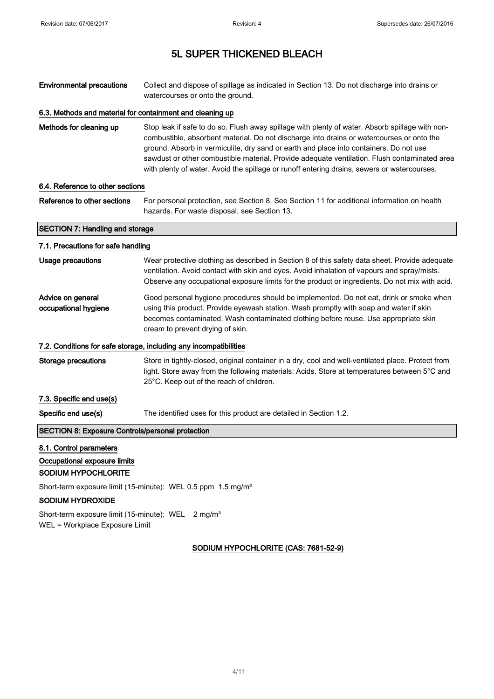Environmental precautions Collect and dispose of spillage as indicated in Section 13. Do not discharge into drains or watercourses or onto the ground.

### 6.3. Methods and material for containment and cleaning up

Methods for cleaning up Stop leak if safe to do so. Flush away spillage with plenty of water. Absorb spillage with noncombustible, absorbent material. Do not discharge into drains or watercourses or onto the ground. Absorb in vermiculite, dry sand or earth and place into containers. Do not use sawdust or other combustible material. Provide adequate ventilation. Flush contaminated area with plenty of water. Avoid the spillage or runoff entering drains, sewers or watercourses.

#### 6.4. Reference to other sections

Reference to other sections For personal protection, see Section 8. See Section 11 for additional information on health hazards. For waste disposal, see Section 13.

# SECTION 7: Handling and storage 7.1. Precautions for safe handling

| Usage precautions                                       | Wear protective clothing as described in Section 8 of this safety data sheet. Provide adequate<br>ventilation. Avoid contact with skin and eyes. Avoid inhalation of vapours and spray/mists.<br>Observe any occupational exposure limits for the product or ingredients. Do not mix with acid.              |
|---------------------------------------------------------|--------------------------------------------------------------------------------------------------------------------------------------------------------------------------------------------------------------------------------------------------------------------------------------------------------------|
| Advice on general<br>occupational hygiene               | Good personal hygiene procedures should be implemented. Do not eat, drink or smoke when<br>using this product. Provide eyewash station. Wash promptly with soap and water if skin<br>becomes contaminated. Wash contaminated clothing before reuse. Use appropriate skin<br>cream to prevent drying of skin. |
|                                                         | 7.2. Conditions for safe storage, including any incompatibilities                                                                                                                                                                                                                                            |
| Storage precautions                                     | Store in tightly-closed, original container in a dry, cool and well-ventilated place. Protect from<br>light. Store away from the following materials: Acids. Store at temperatures between 5°C and<br>25°C. Keep out of the reach of children.                                                               |
| 7.3. Specific end use(s)                                |                                                                                                                                                                                                                                                                                                              |
| Specific end use(s)                                     | The identified uses for this product are detailed in Section 1.2.                                                                                                                                                                                                                                            |
| <b>SECTION 8: Exposure Controls/personal protection</b> |                                                                                                                                                                                                                                                                                                              |
|                                                         |                                                                                                                                                                                                                                                                                                              |

### 8.1. Control parameters

### Occupational exposure limits

#### SODIUM HYPOCHLORITE

Short-term exposure limit (15-minute): WEL 0.5 ppm 1.5 mg/m<sup>3</sup>

#### SODIUM HYDROXIDE

Short-term exposure limit (15-minute): WEL 2 mg/m<sup>3</sup> WEL = Workplace Exposure Limit

## SODIUM HYPOCHLORITE (CAS: 7681-52-9)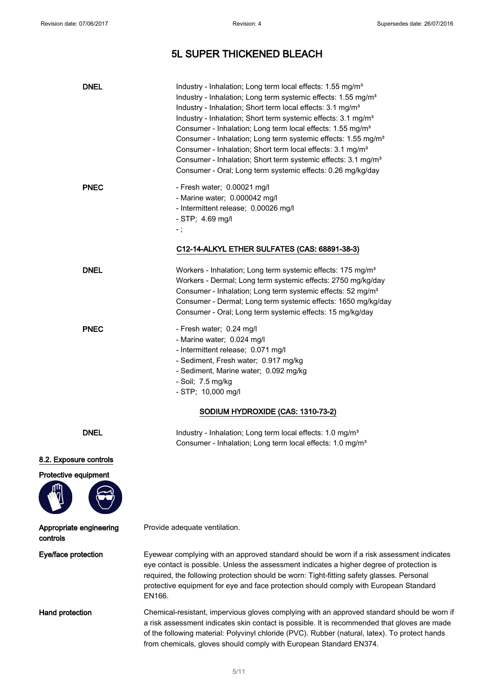# 5L SUPER THICKENED BLEACH

| <b>DNEL</b>                         | Industry - Inhalation; Long term local effects: 1.55 mg/m <sup>3</sup><br>Industry - Inhalation; Long term systemic effects: 1.55 mg/m <sup>3</sup><br>Industry - Inhalation; Short term local effects: 3.1 mg/m <sup>3</sup><br>Industry - Inhalation; Short term systemic effects: 3.1 mg/m <sup>3</sup><br>Consumer - Inhalation; Long term local effects: 1.55 mg/m <sup>3</sup><br>Consumer - Inhalation; Long term systemic effects: 1.55 mg/m <sup>3</sup><br>Consumer - Inhalation; Short term local effects: 3.1 mg/m <sup>3</sup><br>Consumer - Inhalation; Short term systemic effects: 3.1 mg/m <sup>3</sup><br>Consumer - Oral; Long term systemic effects: 0.26 mg/kg/day |
|-------------------------------------|-----------------------------------------------------------------------------------------------------------------------------------------------------------------------------------------------------------------------------------------------------------------------------------------------------------------------------------------------------------------------------------------------------------------------------------------------------------------------------------------------------------------------------------------------------------------------------------------------------------------------------------------------------------------------------------------|
| <b>PNEC</b>                         | - Fresh water; 0.00021 mg/l<br>- Marine water; 0.000042 mg/l<br>- Intermittent release; 0.00026 mg/l<br>$-$ STP; 4.69 mg/l<br>$\overline{\phantom{a}}$ ;<br>C12-14-ALKYL ETHER SULFATES (CAS: 68891-38-3)                                                                                                                                                                                                                                                                                                                                                                                                                                                                               |
| <b>DNEL</b>                         | Workers - Inhalation; Long term systemic effects: 175 mg/m <sup>3</sup><br>Workers - Dermal; Long term systemic effects: 2750 mg/kg/day<br>Consumer - Inhalation; Long term systemic effects: 52 mg/m <sup>3</sup><br>Consumer - Dermal; Long term systemic effects: 1650 mg/kg/day<br>Consumer - Oral; Long term systemic effects: 15 mg/kg/day                                                                                                                                                                                                                                                                                                                                        |
| <b>PNEC</b>                         | - Fresh water; 0.24 mg/l<br>- Marine water; 0.024 mg/l<br>- Intermittent release; 0.071 mg/l<br>- Sediment, Fresh water; 0.917 mg/kg<br>- Sediment, Marine water; 0.092 mg/kg<br>- Soil; 7.5 mg/kg<br>- STP; 10,000 mg/l                                                                                                                                                                                                                                                                                                                                                                                                                                                                |
|                                     | SODIUM HYDROXIDE (CAS: 1310-73-2)                                                                                                                                                                                                                                                                                                                                                                                                                                                                                                                                                                                                                                                       |
| <b>DNEL</b>                         | Industry - Inhalation; Long term local effects: 1.0 mg/m <sup>3</sup><br>Consumer - Inhalation; Long term local effects: 1.0 mg/m <sup>3</sup>                                                                                                                                                                                                                                                                                                                                                                                                                                                                                                                                          |
| 8.2. Exposure controls              |                                                                                                                                                                                                                                                                                                                                                                                                                                                                                                                                                                                                                                                                                         |
| Protective equipment                |                                                                                                                                                                                                                                                                                                                                                                                                                                                                                                                                                                                                                                                                                         |
| Appropriate engineering<br>controls | Provide adequate ventilation.                                                                                                                                                                                                                                                                                                                                                                                                                                                                                                                                                                                                                                                           |
| Eye/face protection                 | Eyewear complying with an approved standard should be worn if a risk assessment indicates<br>eye contact is possible. Unless the assessment indicates a higher degree of protection is<br>required, the following protection should be worn: Tight-fitting safety glasses. Personal<br>protective equipment for eye and face protection should comply with European Standard<br>EN166.                                                                                                                                                                                                                                                                                                  |
| Hand protection                     | Chemical-resistant, impervious gloves complying with an approved standard should be worn if<br>a risk assessment indicates skin contact is possible. It is recommended that gloves are made<br>of the following material: Polyvinyl chloride (PVC). Rubber (natural, latex). To protect hands<br>from chemicals, gloves should comply with European Standard EN374.                                                                                                                                                                                                                                                                                                                     |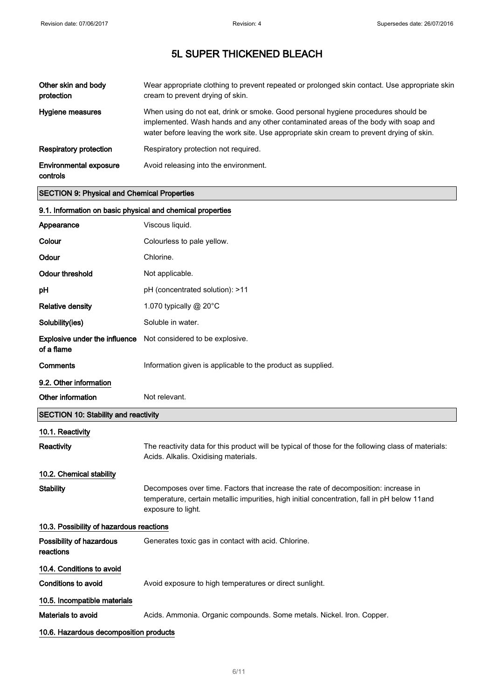| Other skin and body<br>protection         | Wear appropriate clothing to prevent repeated or prolonged skin contact. Use appropriate skin<br>cream to prevent drying of skin.                                                                                                                                    |
|-------------------------------------------|----------------------------------------------------------------------------------------------------------------------------------------------------------------------------------------------------------------------------------------------------------------------|
| Hygiene measures                          | When using do not eat, drink or smoke. Good personal hygiene procedures should be<br>implemented. Wash hands and any other contaminated areas of the body with soap and<br>water before leaving the work site. Use appropriate skin cream to prevent drying of skin. |
| Respiratory protection                    | Respiratory protection not required.                                                                                                                                                                                                                                 |
| <b>Environmental exposure</b><br>controls | Avoid releasing into the environment.                                                                                                                                                                                                                                |

## SECTION 9: Physical and Chemical Properties

| 9.1. Information on basic physical and chemical properties |                                                                                                                                                                                                          |
|------------------------------------------------------------|----------------------------------------------------------------------------------------------------------------------------------------------------------------------------------------------------------|
| Appearance                                                 | Viscous liquid.                                                                                                                                                                                          |
| Colour                                                     | Colourless to pale yellow.                                                                                                                                                                               |
| Odour                                                      | Chlorine.                                                                                                                                                                                                |
| <b>Odour threshold</b>                                     | Not applicable.                                                                                                                                                                                          |
| рH                                                         | pH (concentrated solution): >11                                                                                                                                                                          |
| <b>Relative density</b>                                    | 1.070 typically $@$ 20 $°C$                                                                                                                                                                              |
| Solubility(ies)                                            | Soluble in water.                                                                                                                                                                                        |
| <b>Explosive under the influence</b><br>of a flame         | Not considered to be explosive.                                                                                                                                                                          |
| Comments                                                   | Information given is applicable to the product as supplied.                                                                                                                                              |
| 9.2. Other information                                     |                                                                                                                                                                                                          |
| Other information                                          | Not relevant.                                                                                                                                                                                            |
| SECTION 10: Stability and reactivity                       |                                                                                                                                                                                                          |
| 10.1. Reactivity                                           |                                                                                                                                                                                                          |
| Reactivity                                                 | The reactivity data for this product will be typical of those for the following class of materials:<br>Acids. Alkalis. Oxidising materials.                                                              |
| 10.2. Chemical stability                                   |                                                                                                                                                                                                          |
| Stability                                                  | Decomposes over time. Factors that increase the rate of decomposition: increase in<br>temperature, certain metallic impurities, high initial concentration, fall in pH below 11and<br>exposure to light. |
| 10.3. Possibility of hazardous reactions                   |                                                                                                                                                                                                          |
| Possibility of hazardous<br>reactions                      | Generates toxic gas in contact with acid. Chlorine.                                                                                                                                                      |
| 10.4. Conditions to avoid                                  |                                                                                                                                                                                                          |
| Conditions to avoid                                        | Avoid exposure to high temperatures or direct sunlight.                                                                                                                                                  |
| 10.5. Incompatible materials                               |                                                                                                                                                                                                          |
| Materials to avoid                                         | Acids. Ammonia. Organic compounds. Some metals. Nickel. Iron. Copper.                                                                                                                                    |
| 10.6. Hazardous decomposition products                     |                                                                                                                                                                                                          |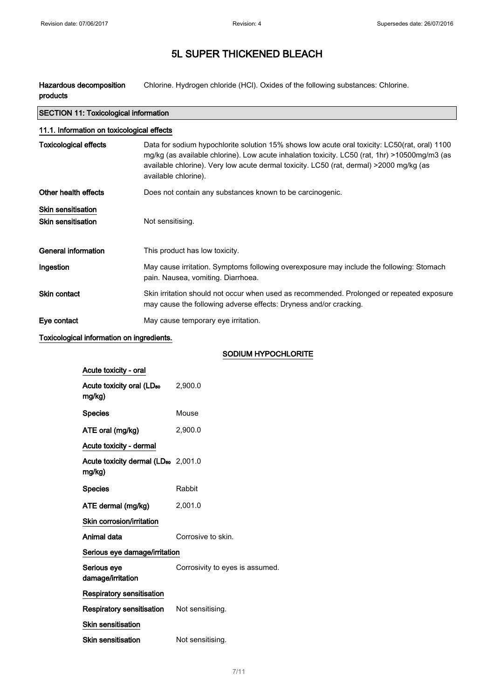Hazardous decomposition products Chlorine. Hydrogen chloride (HCl). Oxides of the following substances: Chlorine.

| <b>SECTION 11: Toxicological information</b>           |                                                                                                                                                                                                                                                                                                                   |  |
|--------------------------------------------------------|-------------------------------------------------------------------------------------------------------------------------------------------------------------------------------------------------------------------------------------------------------------------------------------------------------------------|--|
| 11.1. Information on toxicological effects             |                                                                                                                                                                                                                                                                                                                   |  |
| <b>Toxicological effects</b>                           | Data for sodium hypochlorite solution 15% shows low acute oral toxicity: LC50(rat, oral) 1100<br>mg/kg (as available chlorine). Low acute inhalation toxicity. LC50 (rat, 1hr) >10500mg/m3 (as<br>available chlorine). Very low acute dermal toxicity. LC50 (rat, dermal) >2000 mg/kg (as<br>available chlorine). |  |
| Other health effects                                   | Does not contain any substances known to be carcinogenic.                                                                                                                                                                                                                                                         |  |
| <b>Skin sensitisation</b><br><b>Skin sensitisation</b> | Not sensitising.                                                                                                                                                                                                                                                                                                  |  |
| General information                                    | This product has low toxicity.                                                                                                                                                                                                                                                                                    |  |
| Ingestion                                              | May cause irritation. Symptoms following overexposure may include the following: Stomach<br>pain. Nausea, vomiting. Diarrhoea.                                                                                                                                                                                    |  |
| Skin contact                                           | Skin irritation should not occur when used as recommended. Prolonged or repeated exposure<br>may cause the following adverse effects: Dryness and/or cracking.                                                                                                                                                    |  |
| Eye contact                                            | May cause temporary eye irritation.                                                                                                                                                                                                                                                                               |  |

Toxicological information on ingredients.

## SODIUM HYPOCHLORITE

| Acute toxicity - oral                                     |                                 |
|-----------------------------------------------------------|---------------------------------|
| Acute toxicity oral (LD <sub>50</sub><br>mg/kg)           | 2,900.0                         |
| <b>Species</b>                                            | Mouse                           |
| ATE oral (mg/kg)                                          | 2,900.0                         |
| Acute toxicity - dermal                                   |                                 |
| Acute toxicity dermal (LD <sub>50</sub> 2,001.0<br>mg/kg) |                                 |
| <b>Species</b>                                            | Rabbit                          |
| ATE dermal (mg/kg)                                        | 2,001.0                         |
| Skin corrosion/irritation                                 |                                 |
| Animal data                                               | Corrosive to skin.              |
| Serious eye damage/irritation                             |                                 |
| Serious eye<br>damage/irritation                          | Corrosivity to eyes is assumed. |
| <b>Respiratory sensitisation</b>                          |                                 |
| Respiratory sensitisation                                 | Not sensitising.                |
| <b>Skin sensitisation</b>                                 |                                 |
| <b>Skin sensitisation</b>                                 | Not sensitising.                |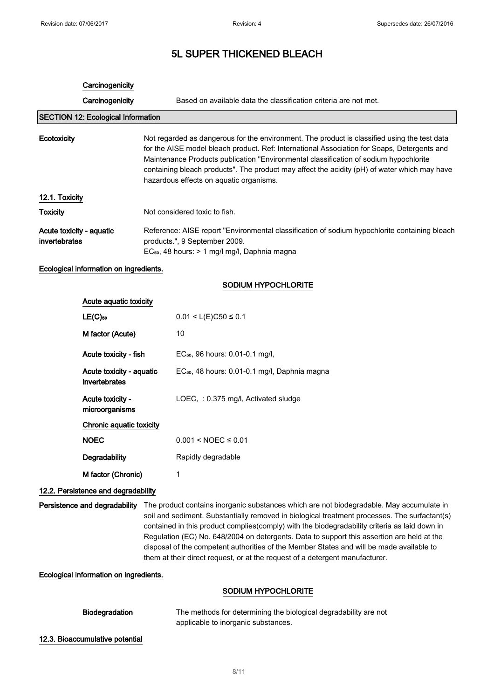### **Carcinogenicity**

Carcinogenicity Based on available data the classification criteria are not met.

### SECTION 12: Ecological Information

## Ecotoxicity Not regarded as dangerous for the environment. The product is classified using the test data for the AISE model bleach product. Ref: International Association for Soaps, Detergents and Maintenance Products publication "Environmental classification of sodium hypochlorite containing bleach products". The product may affect the acidity (pH) of water which may have hazardous effects on aquatic organisms. 12.1. Toxicity

| <b>Toxicity</b>                           | Not considered toxic to fish.                                                                                                  |
|-------------------------------------------|--------------------------------------------------------------------------------------------------------------------------------|
| Acute toxicity - aguatic<br>invertebrates | Reference: AISE report "Environmental classification of sodium hypochlorite containing bleach<br>products.", 9 September 2009. |
|                                           | EC <sub>50</sub> , 48 hours: > 1 mg/l mg/l, Daphnia magna                                                                      |

#### Ecological information on ingredients.

#### SODIUM HYPOCHLORITE

| Acute aquatic toxicity                    |                                                           |
|-------------------------------------------|-----------------------------------------------------------|
| $LE(C)$ <sub>50</sub>                     | $0.01 < L(E)C50 \le 0.1$                                  |
| M factor (Acute)                          | 10                                                        |
| Acute toxicity - fish                     | EC <sub>50</sub> , 96 hours: 0.01-0.1 mg/l,               |
| Acute toxicity - aquatic<br>invertebrates | EC <sub>50</sub> , 48 hours: 0.01-0.1 mg/l, Daphnia magna |
| Acute toxicity -<br>microorganisms        | LOEC,: 0.375 mg/l, Activated sludge                       |
| Chronic aquatic toxicity                  |                                                           |
| <b>NOEC</b>                               | $0.001 < NOEC \leq 0.01$                                  |
| Degradability                             | Rapidly degradable                                        |
| M factor (Chronic)                        | 1                                                         |

### 12.2. Persistence and degradability

Persistence and degradability The product contains inorganic substances which are not biodegradable. May accumulate in soil and sediment. Substantially removed in biological treatment processes. The surfactant(s) contained in this product complies(comply) with the biodegradability criteria as laid down in Regulation (EC) No. 648/2004 on detergents. Data to support this assertion are held at the disposal of the competent authorities of the Member States and will be made available to them at their direct request, or at the request of a detergent manufacturer.

Ecological information on ingredients.

### SODIUM HYPOCHLORITE

| <b>Biodegradation</b> | The methods for determining the biological degradability are not |
|-----------------------|------------------------------------------------------------------|
|                       | applicable to inorganic substances.                              |

12.3. Bioaccumulative potential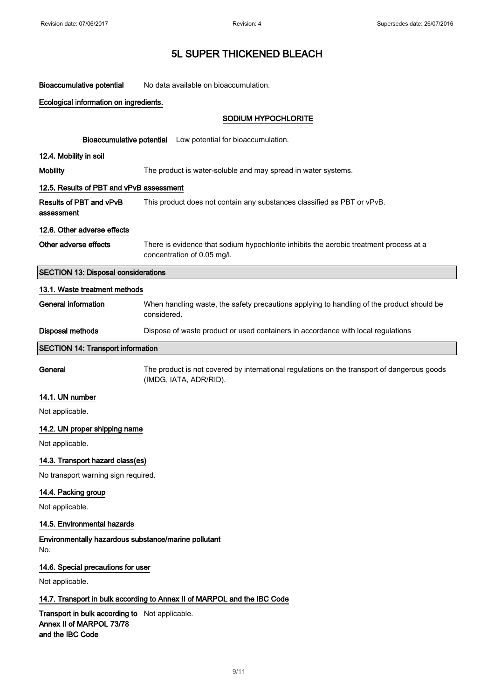Bioaccumulative potential No data available on bioaccumulation.

## Ecological information on ingredients.

## SODIUM HYPOCHLORITE

|                                                                          | Bioaccumulative potential Low potential for bioaccumulation.                                                          |  |  |
|--------------------------------------------------------------------------|-----------------------------------------------------------------------------------------------------------------------|--|--|
| 12.4. Mobility in soil                                                   |                                                                                                                       |  |  |
| <b>Mobility</b>                                                          | The product is water-soluble and may spread in water systems.                                                         |  |  |
|                                                                          |                                                                                                                       |  |  |
| 12.5. Results of PBT and vPvB assessment                                 |                                                                                                                       |  |  |
| Results of PBT and vPvB<br>assessment                                    | This product does not contain any substances classified as PBT or vPvB.                                               |  |  |
| 12.6. Other adverse effects                                              |                                                                                                                       |  |  |
| Other adverse effects                                                    | There is evidence that sodium hypochlorite inhibits the aerobic treatment process at a<br>concentration of 0.05 mg/l. |  |  |
| <b>SECTION 13: Disposal considerations</b>                               |                                                                                                                       |  |  |
| 13.1. Waste treatment methods                                            |                                                                                                                       |  |  |
| <b>General information</b>                                               | When handling waste, the safety precautions applying to handling of the product should be<br>considered.              |  |  |
| <b>Disposal methods</b>                                                  | Dispose of waste product or used containers in accordance with local regulations                                      |  |  |
| <b>SECTION 14: Transport information</b>                                 |                                                                                                                       |  |  |
| General                                                                  | The product is not covered by international regulations on the transport of dangerous goods<br>(IMDG, IATA, ADR/RID). |  |  |
| 14.1. UN number                                                          |                                                                                                                       |  |  |
| Not applicable.                                                          |                                                                                                                       |  |  |
| 14.2. UN proper shipping name                                            |                                                                                                                       |  |  |
| Not applicable.                                                          |                                                                                                                       |  |  |
| 14.3. Transport hazard class(es)                                         |                                                                                                                       |  |  |
| No transport warning sign required.                                      |                                                                                                                       |  |  |
| 14.4. Packing group                                                      |                                                                                                                       |  |  |
| Not applicable.                                                          |                                                                                                                       |  |  |
| 14.5. Environmental hazards                                              |                                                                                                                       |  |  |
| Environmentally hazardous substance/marine pollutant<br>No.              |                                                                                                                       |  |  |
| 14.6. Special precautions for user                                       |                                                                                                                       |  |  |
| Not applicable.                                                          |                                                                                                                       |  |  |
| 14.7. Transport in bulk according to Annex II of MARPOL and the IBC Code |                                                                                                                       |  |  |
|                                                                          | Transport in bulk according to Not applicable.                                                                        |  |  |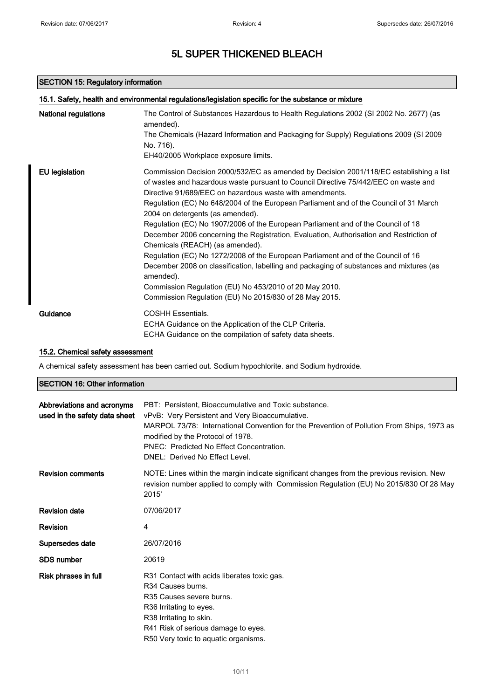### SECTION 15: Regulatory information

| <b>National regulations</b> | The Control of Substances Hazardous to Health Regulations 2002 (SI 2002 No. 2677) (as                |
|-----------------------------|------------------------------------------------------------------------------------------------------|
|                             | amended).                                                                                            |
|                             | The Chemicals (Hazard Information and Packaging for Supply) Regulations 2009 (SI 2009                |
|                             | No. 716).                                                                                            |
|                             | EH40/2005 Workplace exposure limits.                                                                 |
| <b>EU</b> legislation       | Commission Decision 2000/532/EC as amended by Decision 2001/118/EC establishing a list               |
|                             | of wastes and hazardous waste pursuant to Council Directive 75/442/EEC on waste and                  |
|                             | Directive 91/689/EEC on hazardous waste with amendments.                                             |
|                             | Regulation (EC) No 648/2004 of the European Parliament and of the Council of 31 March                |
|                             | 2004 on detergents (as amended).                                                                     |
|                             | Regulation (EC) No 1907/2006 of the European Parliament and of the Council of 18                     |
|                             | December 2006 concerning the Registration, Evaluation, Authorisation and Restriction of              |
|                             | Chemicals (REACH) (as amended).                                                                      |
|                             | Regulation (EC) No 1272/2008 of the European Parliament and of the Council of 16                     |
|                             | December 2008 on classification, labelling and packaging of substances and mixtures (as<br>amended). |
|                             | Commission Regulation (EU) No 453/2010 of 20 May 2010.                                               |
|                             | Commission Regulation (EU) No 2015/830 of 28 May 2015.                                               |
| Guidance                    | <b>COSHH Essentials.</b>                                                                             |
|                             | ECHA Guidance on the Application of the CLP Criteria.                                                |
|                             | ECHA Guidance on the compilation of safety data sheets.                                              |

### 15.2. Chemical safety assessment

A chemical safety assessment has been carried out. Sodium hypochlorite. and Sodium hydroxide.

### SECTION 16: Other information

| Abbreviations and acronyms<br>used in the safety data sheet | PBT: Persistent. Bioaccumulative and Toxic substance.<br>vPvB: Very Persistent and Very Bioaccumulative.<br>MARPOL 73/78: International Convention for the Prevention of Pollution From Ships, 1973 as<br>modified by the Protocol of 1978.<br>PNEC: Predicted No Effect Concentration.<br>DNEL: Derived No Effect Level. |
|-------------------------------------------------------------|---------------------------------------------------------------------------------------------------------------------------------------------------------------------------------------------------------------------------------------------------------------------------------------------------------------------------|
| <b>Revision comments</b>                                    | NOTE: Lines within the margin indicate significant changes from the previous revision. New<br>revision number applied to comply with Commission Regulation (EU) No 2015/830 Of 28 May<br>2015'                                                                                                                            |
| <b>Revision date</b>                                        | 07/06/2017                                                                                                                                                                                                                                                                                                                |
| <b>Revision</b>                                             | 4                                                                                                                                                                                                                                                                                                                         |
| Supersedes date                                             | 26/07/2016                                                                                                                                                                                                                                                                                                                |
| <b>SDS number</b>                                           | 20619                                                                                                                                                                                                                                                                                                                     |
| Risk phrases in full                                        | R31 Contact with acids liberates toxic gas.<br>R <sub>34</sub> Causes burns.<br>R35 Causes severe burns.<br>R36 Irritating to eyes.<br>R38 Irritating to skin.<br>R41 Risk of serious damage to eyes.<br>R50 Very toxic to aquatic organisms.                                                                             |